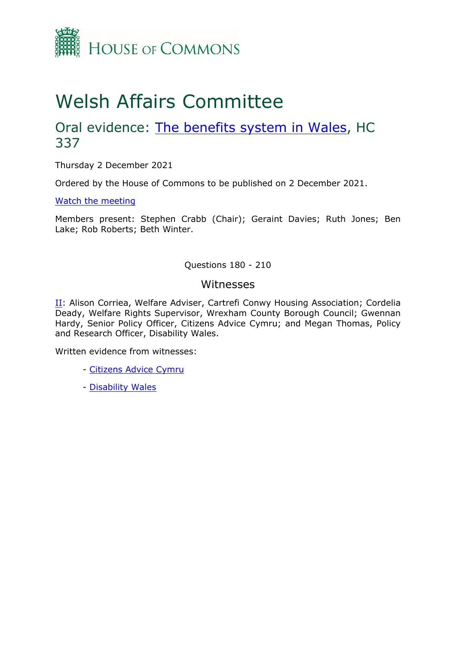

# Welsh Affairs Committee

## Oral evidence: [The](https://committees.parliament.uk/work/1291/the-benefits-system-in-wales/) [benefits](https://committees.parliament.uk/work/1291/the-benefits-system-in-wales/) [system](https://committees.parliament.uk/work/1291/the-benefits-system-in-wales/) [in](https://committees.parliament.uk/work/1291/the-benefits-system-in-wales/) [Wales,](https://committees.parliament.uk/work/1291/the-benefits-system-in-wales/) HC 337

Thursday 2 December 2021

Ordered by the House of Commons to be published on 2 December 2021.

[Watch](https://parliamentlive.tv/event/index/a101a7f3-cd40-45d5-aa52-325fc2338062) [the](https://parliamentlive.tv/event/index/a101a7f3-cd40-45d5-aa52-325fc2338062) [meeting](https://parliamentlive.tv/event/index/a101a7f3-cd40-45d5-aa52-325fc2338062)

Members present: Stephen Crabb (Chair); Geraint Davies; Ruth Jones; Ben Lake; Rob Roberts; Beth Winter.

Questions 180 - 210

#### Witnesses

[II](#page-1-0): Alison Corriea, Welfare Adviser, Cartrefi Conwy Housing Association; Cordelia Deady, Welfare Rights Supervisor, Wrexham County Borough Council; Gwennan Hardy, Senior Policy Officer, Citizens Advice Cymru; and Megan Thomas, Policy and Research Officer, Disability Wales.

Written evidence from witnesses:

- [Citizens](https://committees.parliament.uk/writtenevidence/38095/html/) [Advice](https://committees.parliament.uk/writtenevidence/38095/html/) [Cymru](https://committees.parliament.uk/writtenevidence/38095/html/)
- [Disability](https://committees.parliament.uk/writtenevidence/38242/html/) [Wales](https://committees.parliament.uk/writtenevidence/38242/html/)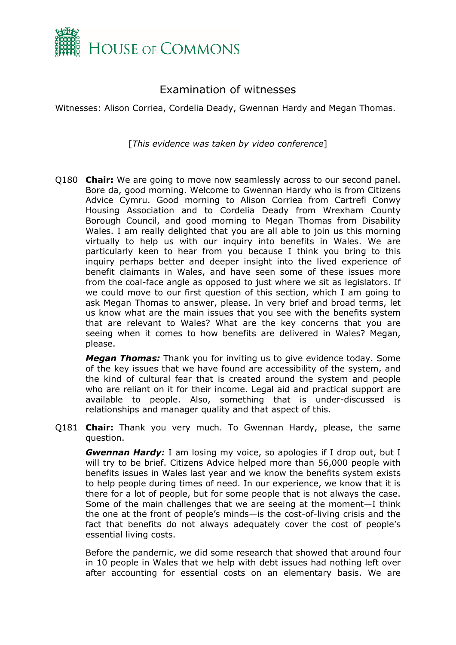

### <span id="page-1-0"></span>Examination of witnesses

Witnesses: Alison Corriea, Cordelia Deady, Gwennan Hardy and Megan Thomas.

[*This evidence was taken by video conference*]

Q180 **Chair:** We are going to move now seamlessly across to our second panel. Bore da, good morning. Welcome to Gwennan Hardy who is from Citizens Advice Cymru. Good morning to Alison Corriea from Cartrefi Conwy Housing Association and to Cordelia Deady from Wrexham County Borough Council, and good morning to Megan Thomas from Disability Wales. I am really delighted that you are all able to join us this morning virtually to help us with our inquiry into benefits in Wales. We are particularly keen to hear from you because I think you bring to this inquiry perhaps better and deeper insight into the lived experience of benefit claimants in Wales, and have seen some of these issues more from the coal-face angle as opposed to just where we sit as legislators. If we could move to our first question of this section, which I am going to ask Megan Thomas to answer, please. In very brief and broad terms, let us know what are the main issues that you see with the benefits system that are relevant to Wales? What are the key concerns that you are seeing when it comes to how benefits are delivered in Wales? Megan, please.

*Megan Thomas:* Thank you for inviting us to give evidence today. Some of the key issues that we have found are accessibility of the system, and the kind of cultural fear that is created around the system and people who are reliant on it for their income. Legal aid and practical support are available to people. Also, something that is under-discussed is relationships and manager quality and that aspect of this.

Q181 **Chair:** Thank you very much. To Gwennan Hardy, please, the same question.

*Gwennan Hardy:* I am losing my voice, so apologies if I drop out, but I will try to be brief. Citizens Advice helped more than 56,000 people with benefits issues in Wales last year and we know the benefits system exists to help people during times of need. In our experience, we know that it is there for a lot of people, but for some people that is not always the case. Some of the main challenges that we are seeing at the moment—I think the one at the front of people's minds—is the cost-of-living crisis and the fact that benefits do not always adequately cover the cost of people's essential living costs.

Before the pandemic, we did some research that showed that around four in 10 people in Wales that we help with debt issues had nothing left over after accounting for essential costs on an elementary basis. We are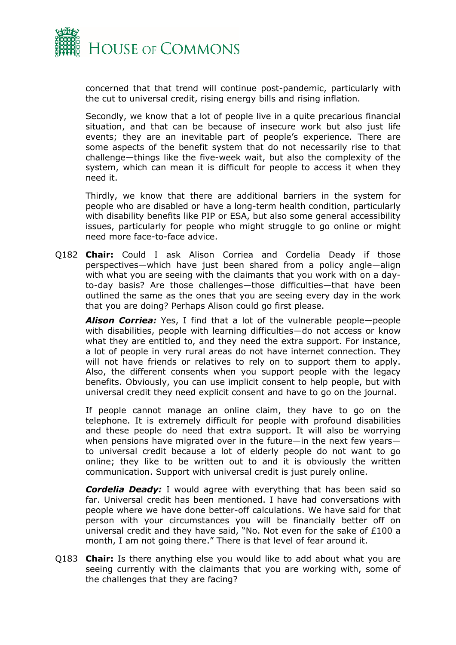

concerned that that trend will continue post-pandemic, particularly with the cut to universal credit, rising energy bills and rising inflation.

Secondly, we know that a lot of people live in a quite precarious financial situation, and that can be because of insecure work but also just life events; they are an inevitable part of people's experience. There are some aspects of the benefit system that do not necessarily rise to that challenge—things like the five-week wait, but also the complexity of the system, which can mean it is difficult for people to access it when they need it.

Thirdly, we know that there are additional barriers in the system for people who are disabled or have a long-term health condition, particularly with disability benefits like PIP or ESA, but also some general accessibility issues, particularly for people who might struggle to go online or might need more face-to-face advice.

Q182 **Chair:** Could I ask Alison Corriea and Cordelia Deady if those perspectives—which have just been shared from a policy angle—align with what you are seeing with the claimants that you work with on a dayto-day basis? Are those challenges—those difficulties—that have been outlined the same as the ones that you are seeing every day in the work that you are doing? Perhaps Alison could go first please.

*Alison Corriea:* Yes, I find that a lot of the vulnerable people—people with disabilities, people with learning difficulties—do not access or know what they are entitled to, and they need the extra support. For instance, a lot of people in very rural areas do not have internet connection. They will not have friends or relatives to rely on to support them to apply. Also, the different consents when you support people with the legacy benefits. Obviously, you can use implicit consent to help people, but with universal credit they need explicit consent and have to go on the journal.

If people cannot manage an online claim, they have to go on the telephone. It is extremely difficult for people with profound disabilities and these people do need that extra support. It will also be worrying when pensions have migrated over in the future—in the next few years to universal credit because a lot of elderly people do not want to go online; they like to be written out to and it is obviously the written communication. Support with universal credit is just purely online.

*Cordelia Deady:* I would agree with everything that has been said so far. Universal credit has been mentioned. I have had conversations with people where we have done better-off calculations. We have said for that person with your circumstances you will be financially better off on universal credit and they have said, "No. Not even for the sake of £100 a month, I am not going there." There is that level of fear around it.

Q183 **Chair:** Is there anything else you would like to add about what you are seeing currently with the claimants that you are working with, some of the challenges that they are facing?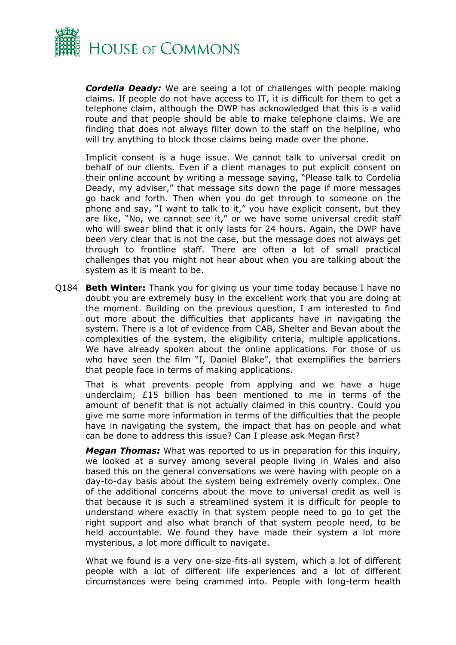

*Cordelia Deady:* We are seeing a lot of challenges with people making claims. If people do not have access to IT, it is difficult for them to get a telephone claim, although the DWP has acknowledged that this is a valid route and that people should be able to make telephone claims. We are finding that does not always filter down to the staff on the helpline, who will try anything to block those claims being made over the phone.

Implicit consent is a huge issue. We cannot talk to universal credit on behalf of our clients. Even if a client manages to put explicit consent on their online account by writing a message saying, "Please talk to Cordelia Deady, my adviser," that message sits down the page if more messages go back and forth. Then when you do get through to someone on the phone and say, "I want to talk to it," you have explicit consent, but they are like, "No, we cannot see it," or we have some universal credit staff who will swear blind that it only lasts for 24 hours. Again, the DWP have been very clear that is not the case, but the message does not always get through to frontline staff. There are often a lot of small practical challenges that you might not hear about when you are talking about the system as it is meant to be.

Q184 **Beth Winter:** Thank you for giving us your time today because I have no doubt you are extremely busy in the excellent work that you are doing at the moment. Building on the previous question, I am interested to find out more about the difficulties that applicants have in navigating the system. There is a lot of evidence from CAB, Shelter and Bevan about the complexities of the system, the eligibility criteria, multiple applications. We have already spoken about the online applications. For those of us who have seen the film "I, Daniel Blake", that exemplifies the barriers that people face in terms of making applications.

That is what prevents people from applying and we have a huge underclaim; £15 billion has been mentioned to me in terms of the amount of benefit that is not actually claimed in this country. Could you give me some more information in terms of the difficulties that the people have in navigating the system, the impact that has on people and what can be done to address this issue? Can I please ask Megan first?

*Megan Thomas:* What was reported to us in preparation for this inquiry, we looked at a survey among several people living in Wales and also based this on the general conversations we were having with people on a day-to-day basis about the system being extremely overly complex. One of the additional concerns about the move to universal credit as well is that because it is such a streamlined system it is difficult for people to understand where exactly in that system people need to go to get the right support and also what branch of that system people need, to be held accountable. We found they have made their system a lot more mysterious, a lot more difficult to navigate.

What we found is a very one-size-fits-all system, which a lot of different people with a lot of different life experiences and a lot of different circumstances were being crammed into. People with long-term health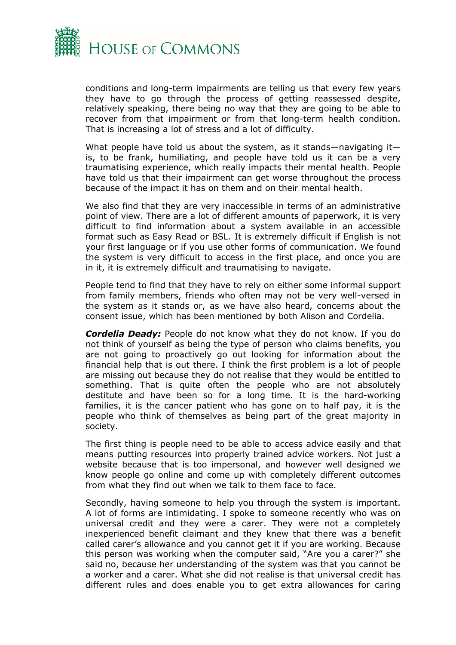

conditions and long-term impairments are telling us that every few years they have to go through the process of getting reassessed despite, relatively speaking, there being no way that they are going to be able to recover from that impairment or from that long-term health condition. That is increasing a lot of stress and a lot of difficulty.

What people have told us about the system, as it stands—navigating it is, to be frank, humiliating, and people have told us it can be a very traumatising experience, which really impacts their mental health. People have told us that their impairment can get worse throughout the process because of the impact it has on them and on their mental health.

We also find that they are very inaccessible in terms of an administrative point of view. There are a lot of different amounts of paperwork, it is very difficult to find information about a system available in an accessible format such as Easy Read or BSL. It is extremely difficult if English is not your first language or if you use other forms of communication. We found the system is very difficult to access in the first place, and once you are in it, it is extremely difficult and traumatising to navigate.

People tend to find that they have to rely on either some informal support from family members, friends who often may not be very well-versed in the system as it stands or, as we have also heard, concerns about the consent issue, which has been mentioned by both Alison and Cordelia.

*Cordelia Deady:* People do not know what they do not know. If you do not think of yourself as being the type of person who claims benefits, you are not going to proactively go out looking for information about the financial help that is out there. I think the first problem is a lot of people are missing out because they do not realise that they would be entitled to something. That is quite often the people who are not absolutely destitute and have been so for a long time. It is the hard-working families, it is the cancer patient who has gone on to half pay, it is the people who think of themselves as being part of the great majority in society.

The first thing is people need to be able to access advice easily and that means putting resources into properly trained advice workers. Not just a website because that is too impersonal, and however well designed we know people go online and come up with completely different outcomes from what they find out when we talk to them face to face.

Secondly, having someone to help you through the system is important. A lot of forms are intimidating. I spoke to someone recently who was on universal credit and they were a carer. They were not a completely inexperienced benefit claimant and they knew that there was a benefit called carer's allowance and you cannot get it if you are working. Because this person was working when the computer said, "Are you a carer?" she said no, because her understanding of the system was that you cannot be a worker and a carer. What she did not realise is that universal credit has different rules and does enable you to get extra allowances for caring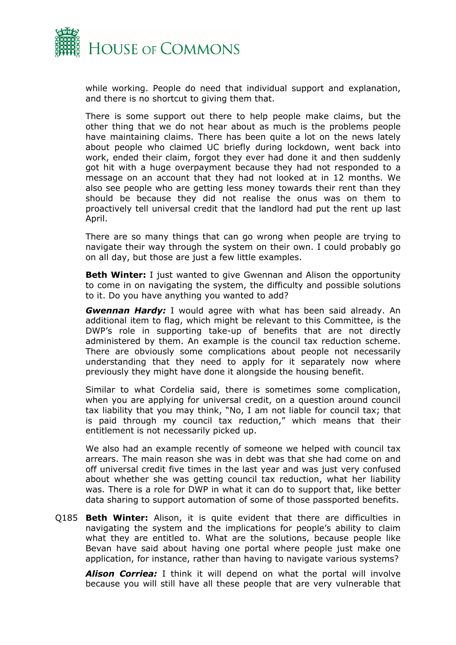

while working. People do need that individual support and explanation, and there is no shortcut to giving them that.

There is some support out there to help people make claims, but the other thing that we do not hear about as much is the problems people have maintaining claims. There has been quite a lot on the news lately about people who claimed UC briefly during lockdown, went back into work, ended their claim, forgot they ever had done it and then suddenly got hit with a huge overpayment because they had not responded to a message on an account that they had not looked at in 12 months. We also see people who are getting less money towards their rent than they should be because they did not realise the onus was on them to proactively tell universal credit that the landlord had put the rent up last April.

There are so many things that can go wrong when people are trying to navigate their way through the system on their own. I could probably go on all day, but those are just a few little examples.

**Beth Winter:** I just wanted to give Gwennan and Alison the opportunity to come in on navigating the system, the difficulty and possible solutions to it. Do you have anything you wanted to add?

*Gwennan Hardy:* I would agree with what has been said already. An additional item to flag, which might be relevant to this Committee, is the DWP's role in supporting take-up of benefits that are not directly administered by them. An example is the council tax reduction scheme. There are obviously some complications about people not necessarily understanding that they need to apply for it separately now where previously they might have done it alongside the housing benefit.

Similar to what Cordelia said, there is sometimes some complication, when you are applying for universal credit, on a question around council tax liability that you may think, "No, I am not liable for council tax; that is paid through my council tax reduction," which means that their entitlement is not necessarily picked up.

We also had an example recently of someone we helped with council tax arrears. The main reason she was in debt was that she had come on and off universal credit five times in the last year and was just very confused about whether she was getting council tax reduction, what her liability was. There is a role for DWP in what it can do to support that, like better data sharing to support automation of some of those passported benefits.

Q185 **Beth Winter:** Alison, it is quite evident that there are difficulties in navigating the system and the implications for people's ability to claim what they are entitled to. What are the solutions, because people like Bevan have said about having one portal where people just make one application, for instance, rather than having to navigate various systems?

*Alison Corriea:* I think it will depend on what the portal will involve because you will still have all these people that are very vulnerable that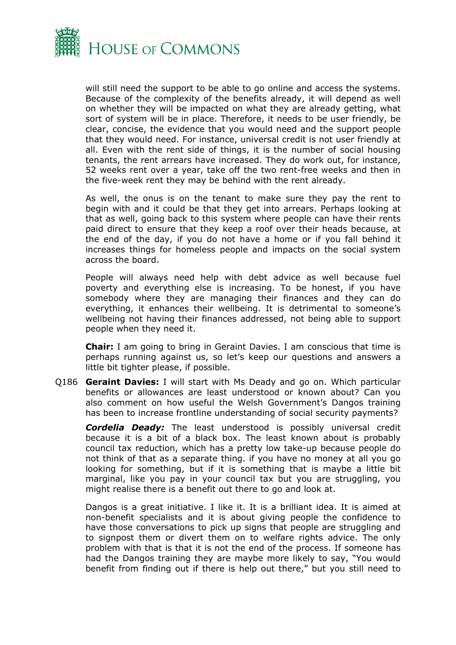

will still need the support to be able to go online and access the systems. Because of the complexity of the benefits already, it will depend as well on whether they will be impacted on what they are already getting, what sort of system will be in place. Therefore, it needs to be user friendly, be clear, concise, the evidence that you would need and the support people that they would need. For instance, universal credit is not user friendly at all. Even with the rent side of things, it is the number of social housing tenants, the rent arrears have increased. They do work out, for instance, 52 weeks rent over a year, take off the two rent-free weeks and then in the five-week rent they may be behind with the rent already.

As well, the onus is on the tenant to make sure they pay the rent to begin with and it could be that they get into arrears. Perhaps looking at that as well, going back to this system where people can have their rents paid direct to ensure that they keep a roof over their heads because, at the end of the day, if you do not have a home or if you fall behind it increases things for homeless people and impacts on the social system across the board.

People will always need help with debt advice as well because fuel poverty and everything else is increasing. To be honest, if you have somebody where they are managing their finances and they can do everything, it enhances their wellbeing. It is detrimental to someone's wellbeing not having their finances addressed, not being able to support people when they need it.

**Chair:** I am going to bring in Geraint Davies. I am conscious that time is perhaps running against us, so let's keep our questions and answers a little bit tighter please, if possible.

Q186 **Geraint Davies:** I will start with Ms Deady and go on. Which particular benefits or allowances are least understood or known about? Can you also comment on how useful the Welsh Government's Dangos training has been to increase frontline understanding of social security payments?

*Cordelia Deady:* The least understood is possibly universal credit because it is a bit of a black box. The least known about is probably council tax reduction, which has a pretty low take-up because people do not think of that as a separate thing. if you have no money at all you go looking for something, but if it is something that is maybe a little bit marginal, like you pay in your council tax but you are struggling, you might realise there is a benefit out there to go and look at.

Dangos is a great initiative. I like it. It is a brilliant idea. It is aimed at non-benefit specialists and it is about giving people the confidence to have those conversations to pick up signs that people are struggling and to signpost them or divert them on to welfare rights advice. The only problem with that is that it is not the end of the process. If someone has had the Dangos training they are maybe more likely to say, "You would benefit from finding out if there is help out there," but you still need to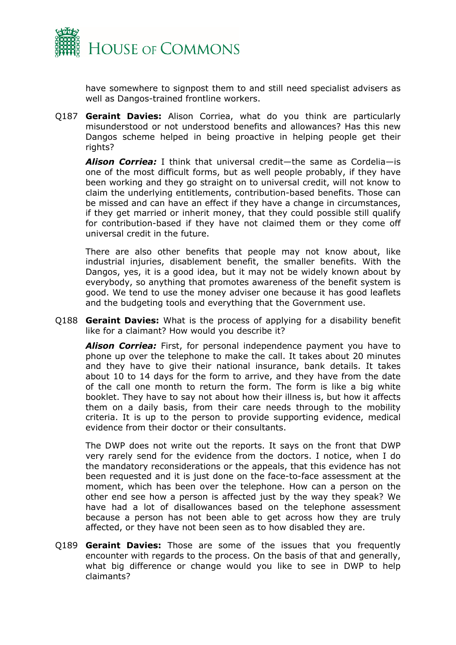

have somewhere to signpost them to and still need specialist advisers as well as Dangos-trained frontline workers.

Q187 **Geraint Davies:** Alison Corriea, what do you think are particularly misunderstood or not understood benefits and allowances? Has this new Dangos scheme helped in being proactive in helping people get their rights?

*Alison Corriea:* I think that universal credit—the same as Cordelia—is one of the most difficult forms, but as well people probably, if they have been working and they go straight on to universal credit, will not know to claim the underlying entitlements, contribution-based benefits. Those can be missed and can have an effect if they have a change in circumstances, if they get married or inherit money, that they could possible still qualify for contribution-based if they have not claimed them or they come off universal credit in the future.

There are also other benefits that people may not know about, like industrial injuries, disablement benefit, the smaller benefits. With the Dangos, yes, it is a good idea, but it may not be widely known about by everybody, so anything that promotes awareness of the benefit system is good. We tend to use the money adviser one because it has good leaflets and the budgeting tools and everything that the Government use.

Q188 **Geraint Davies:** What is the process of applying for a disability benefit like for a claimant? How would you describe it?

*Alison Corriea:* First, for personal independence payment you have to phone up over the telephone to make the call. It takes about 20 minutes and they have to give their national insurance, bank details. It takes about 10 to 14 days for the form to arrive, and they have from the date of the call one month to return the form. The form is like a big white booklet. They have to say not about how their illness is, but how it affects them on a daily basis, from their care needs through to the mobility criteria. It is up to the person to provide supporting evidence, medical evidence from their doctor or their consultants.

The DWP does not write out the reports. It says on the front that DWP very rarely send for the evidence from the doctors. I notice, when I do the mandatory reconsiderations or the appeals, that this evidence has not been requested and it is just done on the face-to-face assessment at the moment, which has been over the telephone. How can a person on the other end see how a person is affected just by the way they speak? We have had a lot of disallowances based on the telephone assessment because a person has not been able to get across how they are truly affected, or they have not been seen as to how disabled they are.

Q189 **Geraint Davies:** Those are some of the issues that you frequently encounter with regards to the process. On the basis of that and generally, what big difference or change would you like to see in DWP to help claimants?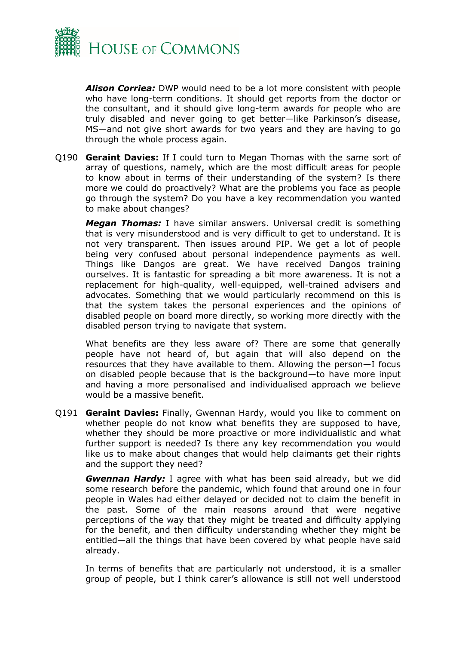

*Alison Corriea:* DWP would need to be a lot more consistent with people who have long-term conditions. It should get reports from the doctor or the consultant, and it should give long-term awards for people who are truly disabled and never going to get better—like Parkinson's disease, MS—and not give short awards for two years and they are having to go through the whole process again.

Q190 **Geraint Davies:** If I could turn to Megan Thomas with the same sort of array of questions, namely, which are the most difficult areas for people to know about in terms of their understanding of the system? Is there more we could do proactively? What are the problems you face as people go through the system? Do you have a key recommendation you wanted to make about changes?

*Megan Thomas:* I have similar answers. Universal credit is something that is very misunderstood and is very difficult to get to understand. It is not very transparent. Then issues around PIP. We get a lot of people being very confused about personal independence payments as well. Things like Dangos are great. We have received Dangos training ourselves. It is fantastic for spreading a bit more awareness. It is not a replacement for high-quality, well-equipped, well-trained advisers and advocates. Something that we would particularly recommend on this is that the system takes the personal experiences and the opinions of disabled people on board more directly, so working more directly with the disabled person trying to navigate that system.

What benefits are they less aware of? There are some that generally people have not heard of, but again that will also depend on the resources that they have available to them. Allowing the person—I focus on disabled people because that is the background—to have more input and having a more personalised and individualised approach we believe would be a massive benefit.

Q191 **Geraint Davies:** Finally, Gwennan Hardy, would you like to comment on whether people do not know what benefits they are supposed to have, whether they should be more proactive or more individualistic and what further support is needed? Is there any key recommendation you would like us to make about changes that would help claimants get their rights and the support they need?

*Gwennan Hardy:* I agree with what has been said already, but we did some research before the pandemic, which found that around one in four people in Wales had either delayed or decided not to claim the benefit in the past. Some of the main reasons around that were negative perceptions of the way that they might be treated and difficulty applying for the benefit, and then difficulty understanding whether they might be entitled—all the things that have been covered by what people have said already.

In terms of benefits that are particularly not understood, it is a smaller group of people, but I think carer's allowance is still not well understood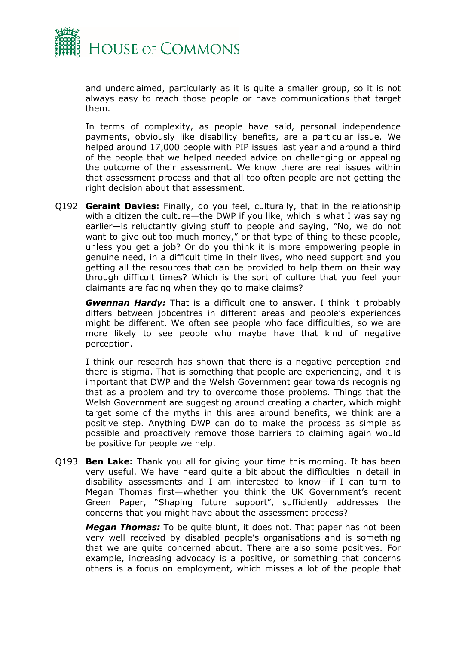

and underclaimed, particularly as it is quite a smaller group, so it is not always easy to reach those people or have communications that target them.

In terms of complexity, as people have said, personal independence payments, obviously like disability benefits, are a particular issue. We helped around 17,000 people with PIP issues last year and around a third of the people that we helped needed advice on challenging or appealing the outcome of their assessment. We know there are real issues within that assessment process and that all too often people are not getting the right decision about that assessment.

Q192 **Geraint Davies:** Finally, do you feel, culturally, that in the relationship with a citizen the culture—the DWP if you like, which is what I was saying earlier—is reluctantly giving stuff to people and saying, "No, we do not want to give out too much money," or that type of thing to these people, unless you get a job? Or do you think it is more empowering people in genuine need, in a difficult time in their lives, who need support and you getting all the resources that can be provided to help them on their way through difficult times? Which is the sort of culture that you feel your claimants are facing when they go to make claims?

*Gwennan Hardy:* That is a difficult one to answer. I think it probably differs between jobcentres in different areas and people's experiences might be different. We often see people who face difficulties, so we are more likely to see people who maybe have that kind of negative perception.

I think our research has shown that there is a negative perception and there is stigma. That is something that people are experiencing, and it is important that DWP and the Welsh Government gear towards recognising that as a problem and try to overcome those problems. Things that the Welsh Government are suggesting around creating a charter, which might target some of the myths in this area around benefits, we think are a positive step. Anything DWP can do to make the process as simple as possible and proactively remove those barriers to claiming again would be positive for people we help.

Q193 **Ben Lake:** Thank you all for giving your time this morning. It has been very useful. We have heard quite a bit about the difficulties in detail in disability assessments and I am interested to know—if I can turn to Megan Thomas first—whether you think the UK Government's recent Green Paper, "Shaping future support", sufficiently addresses the concerns that you might have about the assessment process?

*Megan Thomas:* To be quite blunt, it does not. That paper has not been very well received by disabled people's organisations and is something that we are quite concerned about. There are also some positives. For example, increasing advocacy is a positive, or something that concerns others is a focus on employment, which misses a lot of the people that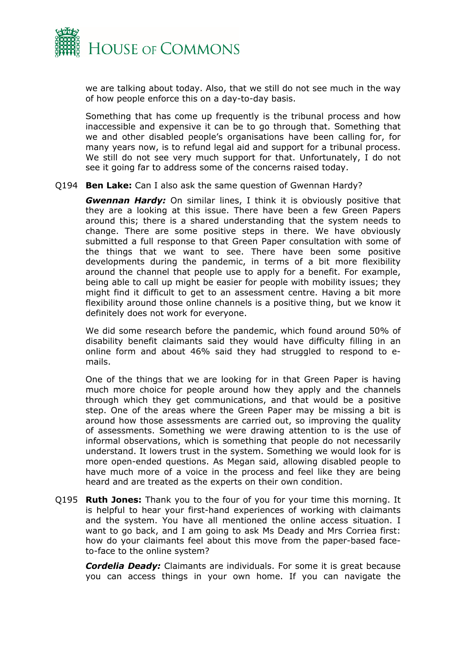

we are talking about today. Also, that we still do not see much in the way of how people enforce this on a day-to-day basis.

Something that has come up frequently is the tribunal process and how inaccessible and expensive it can be to go through that. Something that we and other disabled people's organisations have been calling for, for many years now, is to refund legal aid and support for a tribunal process. We still do not see very much support for that. Unfortunately, I do not see it going far to address some of the concerns raised today.

#### Q194 **Ben Lake:** Can I also ask the same question of Gwennan Hardy?

*Gwennan Hardy:* On similar lines, I think it is obviously positive that they are a looking at this issue. There have been a few Green Papers around this; there is a shared understanding that the system needs to change. There are some positive steps in there. We have obviously submitted a full response to that Green Paper consultation with some of the things that we want to see. There have been some positive developments during the pandemic, in terms of a bit more flexibility around the channel that people use to apply for a benefit. For example, being able to call up might be easier for people with mobility issues; they might find it difficult to get to an assessment centre. Having a bit more flexibility around those online channels is a positive thing, but we know it definitely does not work for everyone.

We did some research before the pandemic, which found around 50% of disability benefit claimants said they would have difficulty filling in an online form and about 46% said they had struggled to respond to emails.

One of the things that we are looking for in that Green Paper is having much more choice for people around how they apply and the channels through which they get communications, and that would be a positive step. One of the areas where the Green Paper may be missing a bit is around how those assessments are carried out, so improving the quality of assessments. Something we were drawing attention to is the use of informal observations, which is something that people do not necessarily understand. It lowers trust in the system. Something we would look for is more open-ended questions. As Megan said, allowing disabled people to have much more of a voice in the process and feel like they are being heard and are treated as the experts on their own condition.

Q195 **Ruth Jones:** Thank you to the four of you for your time this morning. It is helpful to hear your first-hand experiences of working with claimants and the system. You have all mentioned the online access situation. I want to go back, and I am going to ask Ms Deady and Mrs Corriea first: how do your claimants feel about this move from the paper-based faceto-face to the online system?

*Cordelia Deady:* Claimants are individuals. For some it is great because you can access things in your own home. If you can navigate the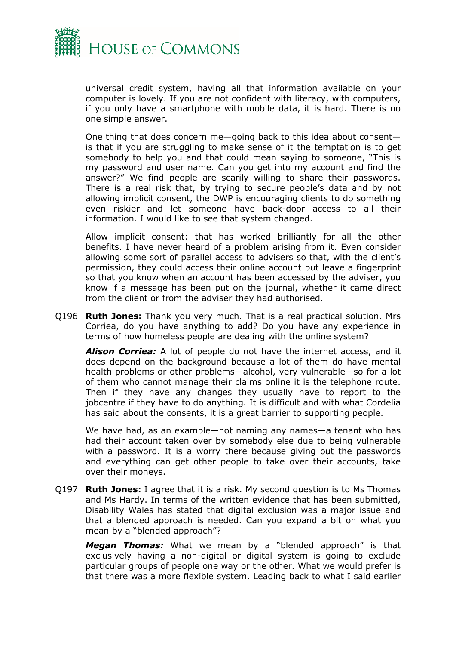

universal credit system, having all that information available on your computer is lovely. If you are not confident with literacy, with computers, if you only have a smartphone with mobile data, it is hard. There is no one simple answer.

One thing that does concern me—going back to this idea about consent is that if you are struggling to make sense of it the temptation is to get somebody to help you and that could mean saying to someone, "This is my password and user name. Can you get into my account and find the answer?" We find people are scarily willing to share their passwords. There is a real risk that, by trying to secure people's data and by not allowing implicit consent, the DWP is encouraging clients to do something even riskier and let someone have back-door access to all their information. I would like to see that system changed.

Allow implicit consent: that has worked brilliantly for all the other benefits. I have never heard of a problem arising from it. Even consider allowing some sort of parallel access to advisers so that, with the client's permission, they could access their online account but leave a fingerprint so that you know when an account has been accessed by the adviser, you know if a message has been put on the journal, whether it came direct from the client or from the adviser they had authorised.

Q196 **Ruth Jones:** Thank you very much. That is a real practical solution. Mrs Corriea, do you have anything to add? Do you have any experience in terms of how homeless people are dealing with the online system?

*Alison Corriea:* A lot of people do not have the internet access, and it does depend on the background because a lot of them do have mental health problems or other problems—alcohol, very vulnerable—so for a lot of them who cannot manage their claims online it is the telephone route. Then if they have any changes they usually have to report to the jobcentre if they have to do anything. It is difficult and with what Cordelia has said about the consents, it is a great barrier to supporting people.

We have had, as an example—not naming any names—a tenant who has had their account taken over by somebody else due to being vulnerable with a password. It is a worry there because giving out the passwords and everything can get other people to take over their accounts, take over their moneys.

Q197 **Ruth Jones:** I agree that it is a risk. My second question is to Ms Thomas and Ms Hardy. In terms of the written evidence that has been submitted, Disability Wales has stated that digital exclusion was a major issue and that a blended approach is needed. Can you expand a bit on what you mean by a "blended approach"?

*Megan Thomas:* What we mean by a "blended approach" is that exclusively having a non-digital or digital system is going to exclude particular groups of people one way or the other. What we would prefer is that there was a more flexible system. Leading back to what I said earlier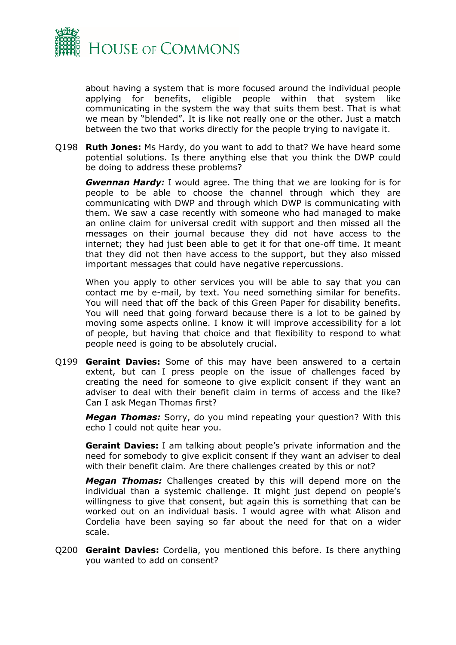

about having a system that is more focused around the individual people applying for benefits, eligible people within that system like communicating in the system the way that suits them best. That is what we mean by "blended". It is like not really one or the other. Just a match between the two that works directly for the people trying to navigate it.

Q198 **Ruth Jones:** Ms Hardy, do you want to add to that? We have heard some potential solutions. Is there anything else that you think the DWP could be doing to address these problems?

*Gwennan Hardy:* I would agree. The thing that we are looking for is for people to be able to choose the channel through which they are communicating with DWP and through which DWP is communicating with them. We saw a case recently with someone who had managed to make an online claim for universal credit with support and then missed all the messages on their journal because they did not have access to the internet; they had just been able to get it for that one-off time. It meant that they did not then have access to the support, but they also missed important messages that could have negative repercussions.

When you apply to other services you will be able to say that you can contact me by e-mail, by text. You need something similar for benefits. You will need that off the back of this Green Paper for disability benefits. You will need that going forward because there is a lot to be gained by moving some aspects online. I know it will improve accessibility for a lot of people, but having that choice and that flexibility to respond to what people need is going to be absolutely crucial.

Q199 **Geraint Davies:** Some of this may have been answered to a certain extent, but can I press people on the issue of challenges faced by creating the need for someone to give explicit consent if they want an adviser to deal with their benefit claim in terms of access and the like? Can I ask Megan Thomas first?

*Megan Thomas:* Sorry, do you mind repeating your question? With this echo I could not quite hear you.

**Geraint Davies:** I am talking about people's private information and the need for somebody to give explicit consent if they want an adviser to deal with their benefit claim. Are there challenges created by this or not?

*Megan Thomas:* Challenges created by this will depend more on the individual than a systemic challenge. It might just depend on people's willingness to give that consent, but again this is something that can be worked out on an individual basis. I would agree with what Alison and Cordelia have been saying so far about the need for that on a wider scale.

Q200 **Geraint Davies:** Cordelia, you mentioned this before. Is there anything you wanted to add on consent?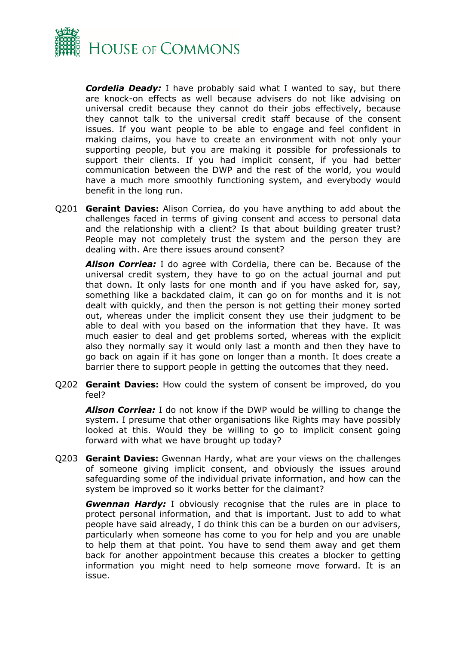

*Cordelia Deady:* I have probably said what I wanted to say, but there are knock-on effects as well because advisers do not like advising on universal credit because they cannot do their jobs effectively, because they cannot talk to the universal credit staff because of the consent issues. If you want people to be able to engage and feel confident in making claims, you have to create an environment with not only your supporting people, but you are making it possible for professionals to support their clients. If you had implicit consent, if you had better communication between the DWP and the rest of the world, you would have a much more smoothly functioning system, and everybody would benefit in the long run.

Q201 **Geraint Davies:** Alison Corriea, do you have anything to add about the challenges faced in terms of giving consent and access to personal data and the relationship with a client? Is that about building greater trust? People may not completely trust the system and the person they are dealing with. Are there issues around consent?

*Alison Corriea:* I do agree with Cordelia, there can be. Because of the universal credit system, they have to go on the actual journal and put that down. It only lasts for one month and if you have asked for, say, something like a backdated claim, it can go on for months and it is not dealt with quickly, and then the person is not getting their money sorted out, whereas under the implicit consent they use their judgment to be able to deal with you based on the information that they have. It was much easier to deal and get problems sorted, whereas with the explicit also they normally say it would only last a month and then they have to go back on again if it has gone on longer than a month. It does create a barrier there to support people in getting the outcomes that they need.

Q202 **Geraint Davies:** How could the system of consent be improved, do you feel?

*Alison Corriea:* I do not know if the DWP would be willing to change the system. I presume that other organisations like Rights may have possibly looked at this. Would they be willing to go to implicit consent going forward with what we have brought up today?

Q203 **Geraint Davies:** Gwennan Hardy, what are your views on the challenges of someone giving implicit consent, and obviously the issues around safeguarding some of the individual private information, and how can the system be improved so it works better for the claimant?

*Gwennan Hardy:* I obviously recognise that the rules are in place to protect personal information, and that is important. Just to add to what people have said already, I do think this can be a burden on our advisers, particularly when someone has come to you for help and you are unable to help them at that point. You have to send them away and get them back for another appointment because this creates a blocker to getting information you might need to help someone move forward. It is an issue.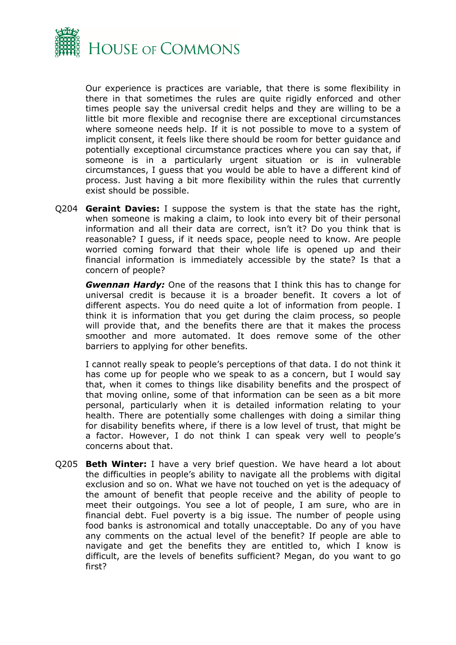

Our experience is practices are variable, that there is some flexibility in there in that sometimes the rules are quite rigidly enforced and other times people say the universal credit helps and they are willing to be a little bit more flexible and recognise there are exceptional circumstances where someone needs help. If it is not possible to move to a system of implicit consent, it feels like there should be room for better guidance and potentially exceptional circumstance practices where you can say that, if someone is in a particularly urgent situation or is in vulnerable circumstances, I guess that you would be able to have a different kind of process. Just having a bit more flexibility within the rules that currently exist should be possible.

Q204 **Geraint Davies:** I suppose the system is that the state has the right, when someone is making a claim, to look into every bit of their personal information and all their data are correct, isn't it? Do you think that is reasonable? I guess, if it needs space, people need to know. Are people worried coming forward that their whole life is opened up and their financial information is immediately accessible by the state? Is that a concern of people?

*Gwennan Hardy:* One of the reasons that I think this has to change for universal credit is because it is a broader benefit. It covers a lot of different aspects. You do need quite a lot of information from people. I think it is information that you get during the claim process, so people will provide that, and the benefits there are that it makes the process smoother and more automated. It does remove some of the other barriers to applying for other benefits.

I cannot really speak to people's perceptions of that data. I do not think it has come up for people who we speak to as a concern, but I would say that, when it comes to things like disability benefits and the prospect of that moving online, some of that information can be seen as a bit more personal, particularly when it is detailed information relating to your health. There are potentially some challenges with doing a similar thing for disability benefits where, if there is a low level of trust, that might be a factor. However, I do not think I can speak very well to people's concerns about that.

Q205 **Beth Winter:** I have a very brief question. We have heard a lot about the difficulties in people's ability to navigate all the problems with digital exclusion and so on. What we have not touched on yet is the adequacy of the amount of benefit that people receive and the ability of people to meet their outgoings. You see a lot of people, I am sure, who are in financial debt. Fuel poverty is a big issue. The number of people using food banks is astronomical and totally unacceptable. Do any of you have any comments on the actual level of the benefit? If people are able to navigate and get the benefits they are entitled to, which I know is difficult, are the levels of benefits sufficient? Megan, do you want to go first?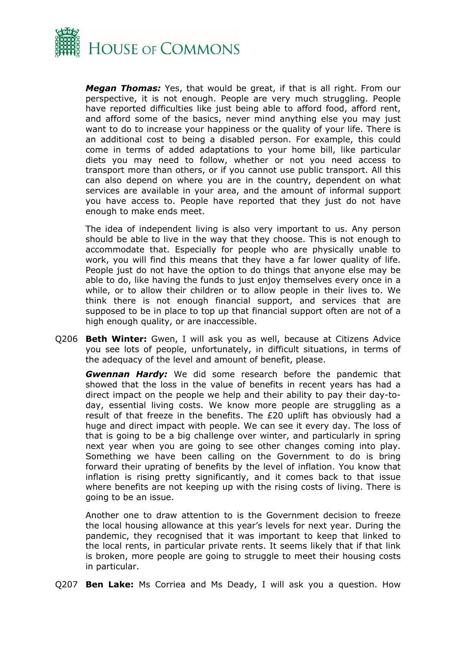

*Megan Thomas:* Yes, that would be great, if that is all right. From our perspective, it is not enough. People are very much struggling. People have reported difficulties like just being able to afford food, afford rent, and afford some of the basics, never mind anything else you may just want to do to increase your happiness or the quality of your life. There is an additional cost to being a disabled person. For example, this could come in terms of added adaptations to your home bill, like particular diets you may need to follow, whether or not you need access to transport more than others, or if you cannot use public transport. All this can also depend on where you are in the country, dependent on what services are available in your area, and the amount of informal support you have access to. People have reported that they just do not have enough to make ends meet.

The idea of independent living is also very important to us. Any person should be able to live in the way that they choose. This is not enough to accommodate that. Especially for people who are physically unable to work, you will find this means that they have a far lower quality of life. People just do not have the option to do things that anyone else may be able to do, like having the funds to just enjoy themselves every once in a while, or to allow their children or to allow people in their lives to. We think there is not enough financial support, and services that are supposed to be in place to top up that financial support often are not of a high enough quality, or are inaccessible.

Q206 **Beth Winter:** Gwen, I will ask you as well, because at Citizens Advice you see lots of people, unfortunately, in difficult situations, in terms of the adequacy of the level and amount of benefit, please.

*Gwennan Hardy:* We did some research before the pandemic that showed that the loss in the value of benefits in recent years has had a direct impact on the people we help and their ability to pay their day-today, essential living costs. We know more people are struggling as a result of that freeze in the benefits. The £20 uplift has obviously had a huge and direct impact with people. We can see it every day. The loss of that is going to be a big challenge over winter, and particularly in spring next year when you are going to see other changes coming into play. Something we have been calling on the Government to do is bring forward their uprating of benefits by the level of inflation. You know that inflation is rising pretty significantly, and it comes back to that issue where benefits are not keeping up with the rising costs of living. There is going to be an issue.

Another one to draw attention to is the Government decision to freeze the local housing allowance at this year's levels for next year. During the pandemic, they recognised that it was important to keep that linked to the local rents, in particular private rents. It seems likely that if that link is broken, more people are going to struggle to meet their housing costs in particular.

Q207 **Ben Lake:** Ms Corriea and Ms Deady, I will ask you a question. How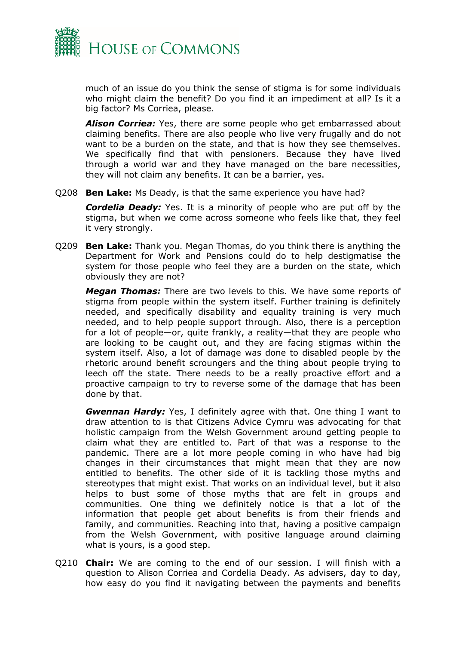

much of an issue do you think the sense of stigma is for some individuals who might claim the benefit? Do you find it an impediment at all? Is it a big factor? Ms Corriea, please.

*Alison Corriea:* Yes, there are some people who get embarrassed about claiming benefits. There are also people who live very frugally and do not want to be a burden on the state, and that is how they see themselves. We specifically find that with pensioners. Because they have lived through a world war and they have managed on the bare necessities, they will not claim any benefits. It can be a barrier, yes.

Q208 **Ben Lake:** Ms Deady, is that the same experience you have had?

*Cordelia Deady:* Yes. It is a minority of people who are put off by the stigma, but when we come across someone who feels like that, they feel it very strongly.

Q209 **Ben Lake:** Thank you. Megan Thomas, do you think there is anything the Department for Work and Pensions could do to help destigmatise the system for those people who feel they are a burden on the state, which obviously they are not?

*Megan Thomas:* There are two levels to this. We have some reports of stigma from people within the system itself. Further training is definitely needed, and specifically disability and equality training is very much needed, and to help people support through. Also, there is a perception for a lot of people—or, quite frankly, a reality—that they are people who are looking to be caught out, and they are facing stigmas within the system itself. Also, a lot of damage was done to disabled people by the rhetoric around benefit scroungers and the thing about people trying to leech off the state. There needs to be a really proactive effort and a proactive campaign to try to reverse some of the damage that has been done by that.

*Gwennan Hardy:* Yes, I definitely agree with that. One thing I want to draw attention to is that Citizens Advice Cymru was advocating for that holistic campaign from the Welsh Government around getting people to claim what they are entitled to. Part of that was a response to the pandemic. There are a lot more people coming in who have had big changes in their circumstances that might mean that they are now entitled to benefits. The other side of it is tackling those myths and stereotypes that might exist. That works on an individual level, but it also helps to bust some of those myths that are felt in groups and communities. One thing we definitely notice is that a lot of the information that people get about benefits is from their friends and family, and communities. Reaching into that, having a positive campaign from the Welsh Government, with positive language around claiming what is yours, is a good step.

Q210 **Chair:** We are coming to the end of our session. I will finish with a question to Alison Corriea and Cordelia Deady. As advisers, day to day, how easy do you find it navigating between the payments and benefits